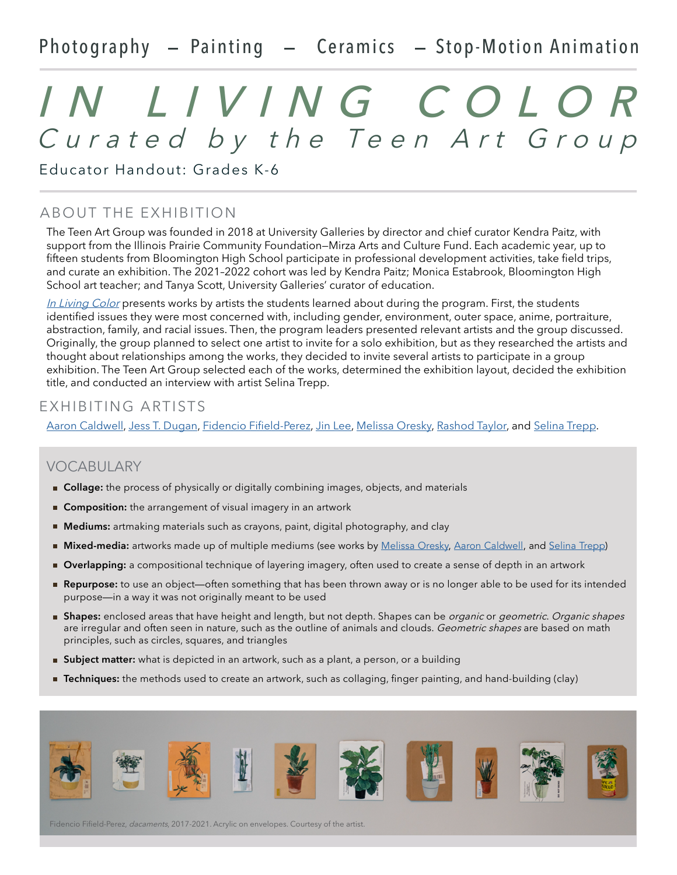### Photography - Painting - Ceramics - Stop-Motion Animation

# Curated by the Teen Art Group IN LIVING COLOR

Educator Handout: Grades K-6

### ABOUT THE EXHIBITION

The Teen Art Group was founded in 2018 at University Galleries by director and chief curator Kendra Paitz, with support from the Illinois Prairie Community Foundation—Mirza Arts and Culture Fund. Each academic year, up to fifteen students from Bloomington High School participate in professional development activities, take field trips, and curate an exhibition. The 2021–2022 cohort was led by Kendra Paitz; Monica Estabrook, Bloomington High School art teacher; and Tanya Scott, University Galleries' curator of education.

[In Living Color](https://galleries.illinoisstate.edu/exhibitions/2022/curated-by-teen-art-group-2022/) presents works by artists the students learned about during the program. First, the students identified issues they were most concerned with, including gender, environment, outer space, anime, portraiture, abstraction, family, and racial issues. Then, the program leaders presented relevant artists and the group discussed. Originally, the group planned to select one artist to invite for a solo exhibition, but as they researched the artists and thought about relationships among the works, they decided to invite several artists to participate in a group exhibition. The Teen Art Group selected each of the works, determined the exhibition layout, decided the exhibition title, and conducted an interview with artist Selina Trepp.

### EXHIBITING ARTISTS

[Aaron Caldwell,](https://ceramicsnstuff.com/home.html) [Jess T. Dugan](http://www.jessdugan.com), [Fidencio Fifield-Perez](http://fidenciofperez.com/), [Jin Lee,](https://jinleephotography.net/) [Melissa Oresky](http://www.melissaoresky.com/), [Rashod Taylor](https://www.rashodtaylor.com/), and [Selina Trepp](https://selinatrepp.info/home.html).

### VOCABULARY

- **Collage:** the process of physically or digitally combining images, objects, and materials
- **Composition:** the arrangement of visual imagery in an artwork
- **Mediums:** artmaking materials such as crayons, paint, digital photography, and clay
- **Mixed-media:** artworks made up of multiple mediums (see works by [Melissa Oresky,](https://www.flickr.com/photos/52024644@N05/52084850109/in/album-72177720299084922/) [Aaron Caldwell](https://www.flickr.com/photos/52024644@N05/52085104630/in/album-72177720299084922/), and [Selina Trepp\)](https://www.flickr.com/photos/52024644@N05/52085103780/in/album-72177720299084922/)
- **Overlapping:** a compositional technique of layering imagery, often used to create a sense of depth in an artwork
- **Repurpose:** to use an object—often something that has been thrown away or is no longer able to be used for its intended purpose—in a way it was not originally meant to be used
- **Shapes:** enclosed areas that have height and length, but not depth. Shapes can be *organic* or *geometric. Organic shapes* are irregular and often seen in nature, such as the outline of animals and clouds. Geometric shapes are based on math principles, such as circles, squares, and triangles
- **Subject matter:** what is depicted in an artwork, such as a plant, a person, or a building
- **Techniques:** the methods used to create an artwork, such as collaging, finger painting, and hand-building (clay)



Fidencio Fifield-Perez, dacaments, 2017-2021. Acrylic on envelopes. Courtesy of the artist.